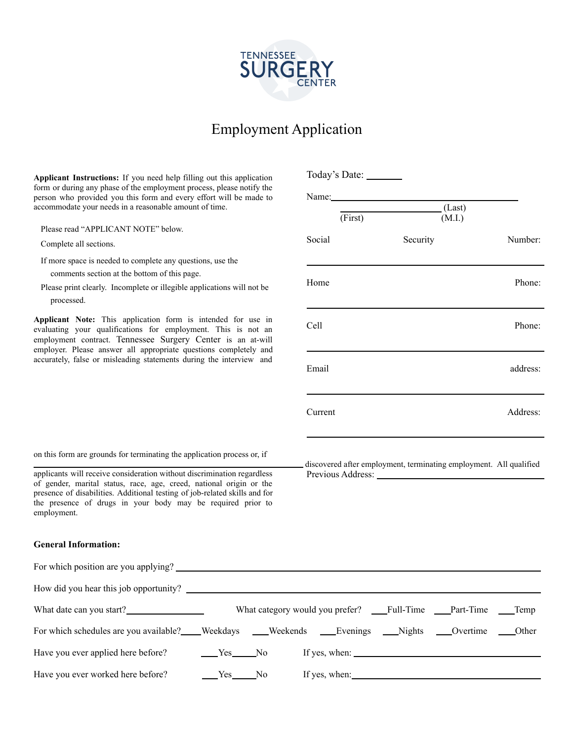

## Employment Application

**Applicant Instructions:** If you need help filling out this application form or during any phase of the employment process, please notify the person who provided you this form and every effort will be made to accommodate your needs in a reasonable amount of time.

Please read "APPLICANT NOTE" below.

Complete all sections.

If more space is needed to complete any questions, use the comments section at the bottom of this page.

Please print clearly. Incomplete or illegible applications will not be processed.

**Applicant Note:** This application form is intended for use in evaluating your qualifications for employment. This is not an employment contract. Tennessee Surgery Center is an at-will employer. Please answer all appropriate questions completely and accurately, false or misleading statements during the interview and

| (Last)<br>(M.I.) | Number:<br>Phone:                                                  |
|------------------|--------------------------------------------------------------------|
|                  |                                                                    |
|                  |                                                                    |
|                  |                                                                    |
|                  |                                                                    |
|                  |                                                                    |
|                  | Phone:                                                             |
|                  | address:                                                           |
|                  | Address:                                                           |
|                  | discovered after employment, terminating employment. All qualified |
|                  |                                                                    |
|                  |                                                                    |
|                  |                                                                    |
|                  |                                                                    |
|                  |                                                                    |

on this form are grounds for terminating the application process or, if

applicants will receive consideration without discrimination regardless of gender, marital status, race, age, creed, national origin or the presence of disabilities. Additional testing of job-related skills and for the presence of drugs in your body may be required prior to employment.

## **General Information:**

| For which position are you applying?                                                    |          |                                                                   |  |  |
|-----------------------------------------------------------------------------------------|----------|-------------------------------------------------------------------|--|--|
| How did you hear this job opportunity?                                                  |          |                                                                   |  |  |
| What date can you start?                                                                |          | What category would you prefer? ___Full-Time ___Part-Time ___Temp |  |  |
| For which schedules are you available? Weekdays Weekends Evenings Nights Overtime Other |          |                                                                   |  |  |
| Have you ever applied here before?                                                      | $Yes$ No | If yes, when:                                                     |  |  |
| Have you ever worked here before?                                                       | $Yes$ No | If yes, when:                                                     |  |  |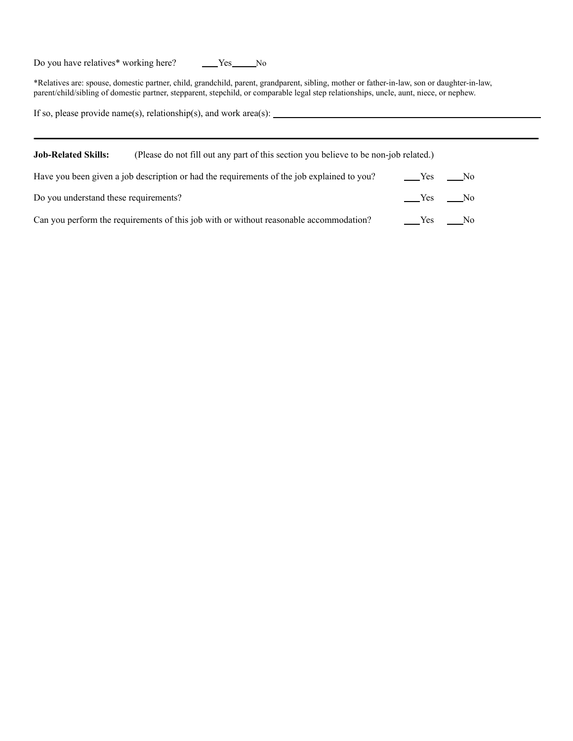Do you have relatives\* working here? Yes No

\*Relatives are: spouse, domestic partner, child, grandchild, parent, grandparent, sibling, mother or father-in-law, son or daughter-in-law, parent/child/sibling of domestic partner, stepparent, stepchild, or comparable legal step relationships, uncle, aunt, niece, or nephew.

If so, please provide name(s), relationship(s), and work area(s):

| <b>Job-Related Skills:</b>            | (Please do not fill out any part of this section you believe to be non-job related.)       |           |  |  |
|---------------------------------------|--------------------------------------------------------------------------------------------|-----------|--|--|
|                                       | Have you been given a job description or had the requirements of the job explained to you? | No Ves No |  |  |
| Do you understand these requirements? |                                                                                            | $Yes$ No  |  |  |
|                                       | Can you perform the requirements of this job with or without reasonable accommodation?     | $Yes$ No  |  |  |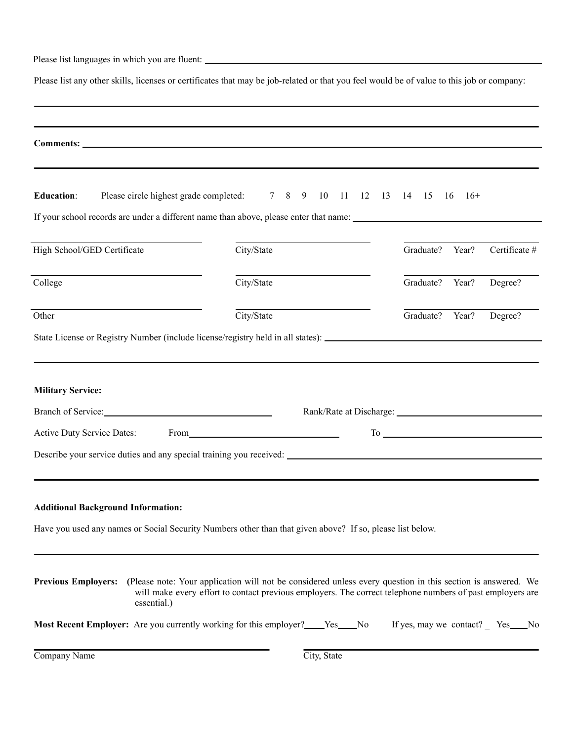Please list languages in which you are fluent: \_\_\_\_\_\_\_\_\_\_\_\_\_\_\_\_\_\_\_\_\_\_\_\_\_\_\_\_\_\_\_\_\_\_

Please list any other skills, licenses or certificates that may be job-related or that you feel would be of value to this job or company:

| <b>Education:</b>                                                                   | Please circle highest grade completed: 7 8 9 10 11 12 13 14 15 16                                                                                                                                                                                                                                     |                 | $16+$ |                                       |
|-------------------------------------------------------------------------------------|-------------------------------------------------------------------------------------------------------------------------------------------------------------------------------------------------------------------------------------------------------------------------------------------------------|-----------------|-------|---------------------------------------|
|                                                                                     | If your school records are under a different name than above, please enter that name:                                                                                                                                                                                                                 |                 |       |                                       |
| High School/GED Certificate                                                         | City/State                                                                                                                                                                                                                                                                                            | Graduate? Year? |       | Certificate #                         |
| College                                                                             | City/State                                                                                                                                                                                                                                                                                            | Graduate?       | Year? | Degree?                               |
| Other                                                                               | City/State                                                                                                                                                                                                                                                                                            | Graduate? Year? |       | Degree?                               |
|                                                                                     |                                                                                                                                                                                                                                                                                                       |                 |       |                                       |
| <b>Military Service:</b><br>Branch of Service:<br><b>Active Duty Service Dates:</b> | From the contract of the contract of the contract of the contract of the contract of the contract of the contract of the contract of the contract of the contract of the contract of the contract of the contract of the contr<br>Describe your service duties and any special training you received: |                 |       | $To$ $\overline{\phantom{a}}$         |
|                                                                                     |                                                                                                                                                                                                                                                                                                       |                 |       |                                       |
| <b>Additional Background Information:</b>                                           |                                                                                                                                                                                                                                                                                                       |                 |       |                                       |
|                                                                                     | Have you used any names or Social Security Numbers other than that given above? If so, please list below.                                                                                                                                                                                             |                 |       |                                       |
| essential.)                                                                         | <b>Previous Employers:</b> (Please note: Your application will not be considered unless every question in this section is answered. We<br>will make every effort to contact previous employers. The correct telephone numbers of past employers are                                                   |                 |       |                                       |
|                                                                                     | Most Recent Employer: Are you currently working for this employer?____Yes____No                                                                                                                                                                                                                       |                 |       | If yes, may we contact? _ Yes _____No |
| Company Name                                                                        | City, State                                                                                                                                                                                                                                                                                           |                 |       |                                       |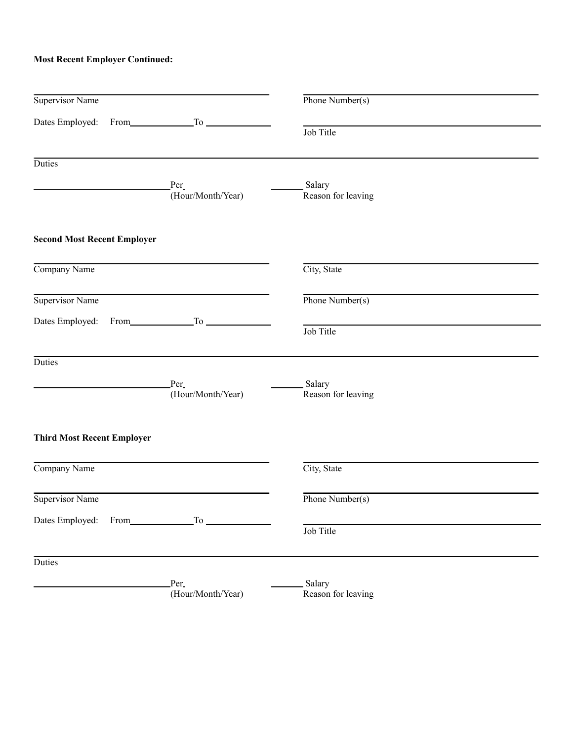## **Most Recent Employer Continued:**

| Supervisor Name                    |                           | Phone Number(s)                 |  |
|------------------------------------|---------------------------|---------------------------------|--|
|                                    |                           | Job Title                       |  |
| <b>Duties</b>                      |                           |                                 |  |
|                                    | Per<br>(Hour/Month/Year)  | Salary<br>Reason for leaving    |  |
| <b>Second Most Recent Employer</b> |                           |                                 |  |
| Company Name                       |                           | City, State                     |  |
| Supervisor Name                    |                           | Phone Number(s)                 |  |
|                                    | Dates Employed: From To   | Job Title                       |  |
| Duties                             |                           |                                 |  |
|                                    | Per<br>(Hour/Month/Year)  | __ Salary<br>Reason for leaving |  |
| <b>Third Most Recent Employer</b>  |                           |                                 |  |
| Company Name                       |                           | City, State                     |  |
| Supervisor Name                    |                           | Phone Number(s)                 |  |
|                                    | Dates Employed: From To   | Job Title                       |  |
| Duties                             |                           |                                 |  |
|                                    | Per.<br>(Hour/Month/Year) | Salary<br>Reason for leaving    |  |